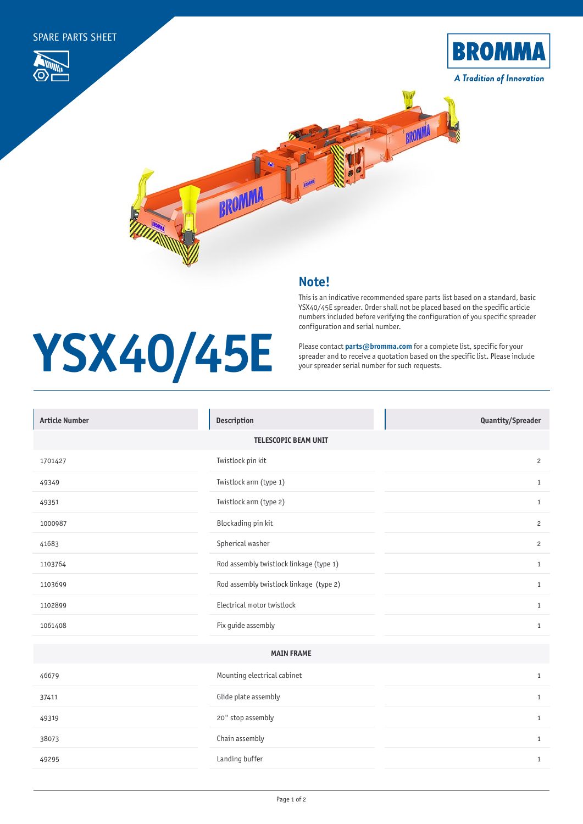

## **Note!**

**YSX40/45E**

## This is an indicative recommended spare parts list based on a standard, basic YSX40/45E spreader. Order shall not be placed based on the specific article numbers included before verifying the configuration of you specific spreader configuration and serial number.

## Please contact **[parts@bromma.com](mailto:parts%40bromma.com?subject=)** for a complete list, specific for your spreader and to receive a quotation based on the specific list. Please include your spreader serial number for such requests.

| <b>Description</b>                      | Quantity/Spreader |  |
|-----------------------------------------|-------------------|--|
| <b>TELESCOPIC BEAM UNIT</b>             |                   |  |
| Twistlock pin kit                       | $\mathbf{2}$      |  |
| Twistlock arm (type 1)                  | $\mathbf{1}$      |  |
| Twistlock arm (type 2)                  | $\mathbf{1}$      |  |
| Blockading pin kit                      | $\overline{c}$    |  |
| Spherical washer                        | $\mathbf{2}$      |  |
| Rod assembly twistlock linkage (type 1) | $\mathbf{1}$      |  |
| Rod assembly twistlock linkage (type 2) | $\mathbf{1}$      |  |
| Electrical motor twistlock              | $\mathbf{1}$      |  |
| Fix guide assembly                      | $\mathbf{1}$      |  |
| <b>MAIN FRAME</b>                       |                   |  |
| Mounting electrical cabinet             | $\mathbf{1}$      |  |
| Glide plate assembly                    | $\mathbf{1}$      |  |
| 20" stop assembly                       | $\mathbf{1}$      |  |
| Chain assembly                          | $\mathbf{1}$      |  |
| Landing buffer                          | $\mathbf{1}$      |  |
|                                         |                   |  |